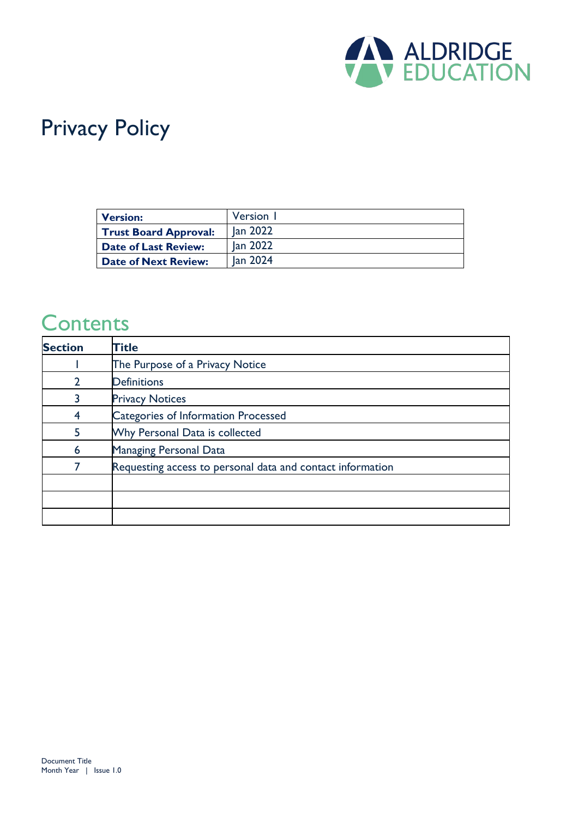

# Privacy Policy

| <b>Version:</b>              | Version 1 |
|------------------------------|-----------|
| <b>Trust Board Approval:</b> | lan 2022  |
| <b>Date of Last Review:</b>  | Jan 2022  |
| <b>Date of Next Review:</b>  | lan 2024  |

#### **Contents**

| <b>Section</b> | <b>Title</b>                                               |
|----------------|------------------------------------------------------------|
|                | The Purpose of a Privacy Notice                            |
|                | <b>Definitions</b>                                         |
|                | <b>Privacy Notices</b>                                     |
|                | Categories of Information Processed                        |
| 5              | Why Personal Data is collected                             |
| 6              | Managing Personal Data                                     |
|                | Requesting access to personal data and contact information |
|                |                                                            |
|                |                                                            |
|                |                                                            |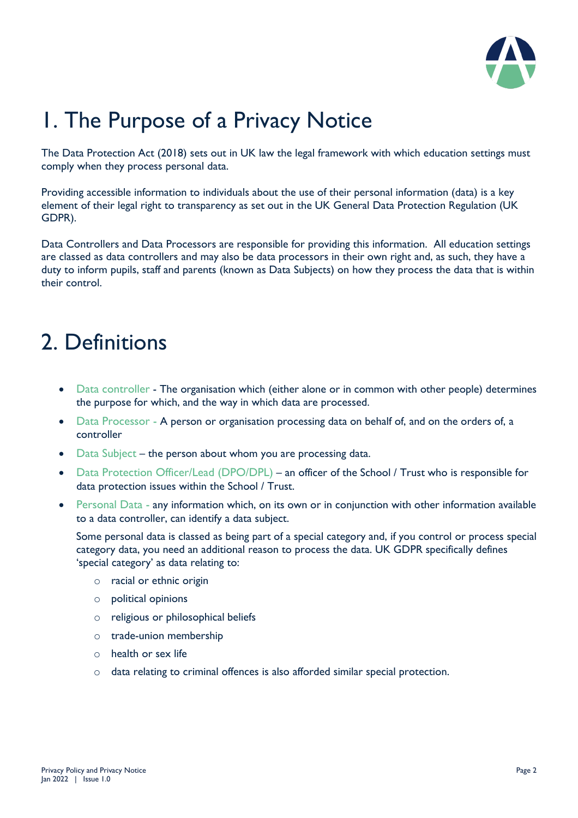

# 1. The Purpose of a Privacy Notice

The Data Protection Act (2018) sets out in UK law the legal framework with which education settings must comply when they process personal data.

Providing accessible information to individuals about the use of their personal information (data) is a key element of their legal right to transparency as set out in the UK General Data Protection Regulation (UK GDPR).

Data Controllers and Data Processors are responsible for providing this information. All education settings are classed as data controllers and may also be data processors in their own right and, as such, they have a duty to inform pupils, staff and parents (known as Data Subjects) on how they process the data that is within their control.

### 2. Definitions

- Data controller The organisation which (either alone or in common with other people) determines the purpose for which, and the way in which data are processed.
- Data Processor A person or organisation processing data on behalf of, and on the orders of, a controller
- Data Subject the person about whom you are processing data.
- Data Protection Officer/Lead (DPO/DPL) an officer of the School / Trust who is responsible for data protection issues within the School / Trust.
- Personal Data any information which, on its own or in conjunction with other information available to a data controller, can identify a data subject.

Some personal data is classed as being part of a special category and, if you control or process special category data, you need an additional reason to process the data. UK GDPR specifically defines 'special category' as data relating to:

- o racial or ethnic origin
- o political opinions
- o religious or philosophical beliefs
- o trade-union membership
- o health or sex life
- o data relating to criminal offences is also afforded similar special protection.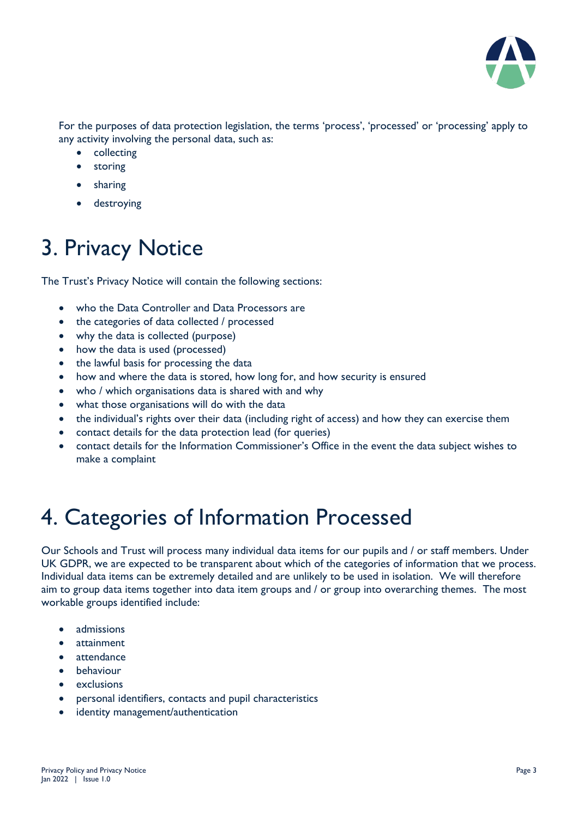

For the purposes of data protection legislation, the terms 'process', 'processed' or 'processing' apply to any activity involving the personal data, such as:

- collecting
- storing
- sharing
- destroying

### 3. Privacy Notice

The Trust's Privacy Notice will contain the following sections:

- who the Data Controller and Data Processors are
- the categories of data collected / processed
- why the data is collected (purpose)
- how the data is used (processed)
- the lawful basis for processing the data
- how and where the data is stored, how long for, and how security is ensured
- who / which organisations data is shared with and why
- what those organisations will do with the data
- the individual's rights over their data (including right of access) and how they can exercise them
- contact details for the data protection lead (for queries)
- contact details for the Information Commissioner's Office in the event the data subject wishes to make a complaint

### 4. Categories of Information Processed

Our Schools and Trust will process many individual data items for our pupils and / or staff members. Under UK GDPR, we are expected to be transparent about which of the categories of information that we process. Individual data items can be extremely detailed and are unlikely to be used in isolation. We will therefore aim to group data items together into data item groups and / or group into overarching themes. The most workable groups identified include:

- admissions
- attainment
- attendance
- **behaviour**
- exclusions
- personal identifiers, contacts and pupil characteristics
- identity management/authentication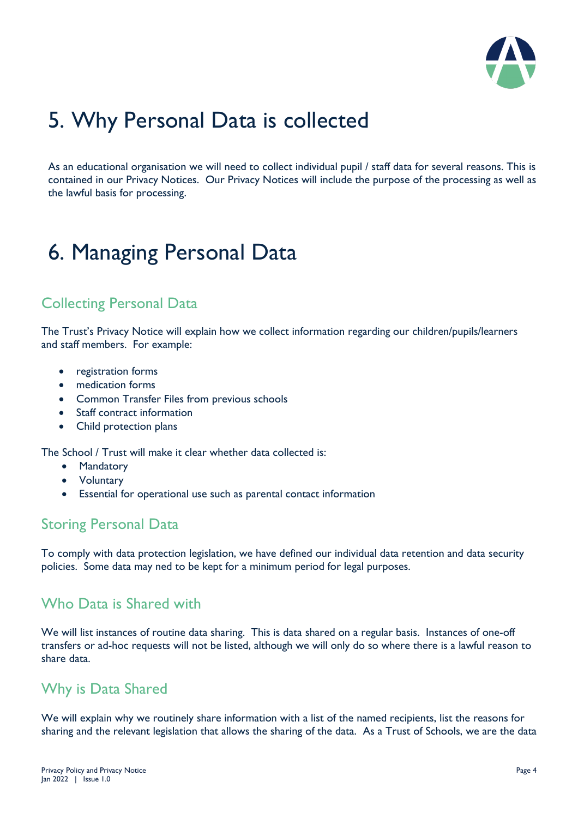

### 5. Why Personal Data is collected

As an educational organisation we will need to collect individual pupil / staff data for several reasons. This is contained in our Privacy Notices. Our Privacy Notices will include the purpose of the processing as well as the lawful basis for processing.

## 6. Managing Personal Data

#### Collecting Personal Data

The Trust's Privacy Notice will explain how we collect information regarding our children/pupils/learners and staff members. For example:

- registration forms
- medication forms
- Common Transfer Files from previous schools
- Staff contract information
- Child protection plans

The School / Trust will make it clear whether data collected is:

- Mandatory
- Voluntary
- Essential for operational use such as parental contact information

#### Storing Personal Data

To comply with data protection legislation, we have defined our individual data retention and data security policies. Some data may ned to be kept for a minimum period for legal purposes.

#### Who Data is Shared with

We will list instances of routine data sharing. This is data shared on a regular basis. Instances of one-off transfers or ad-hoc requests will not be listed, although we will only do so where there is a lawful reason to share data.

#### Why is Data Shared

We will explain why we routinely share information with a list of the named recipients, list the reasons for sharing and the relevant legislation that allows the sharing of the data. As a Trust of Schools, we are the data